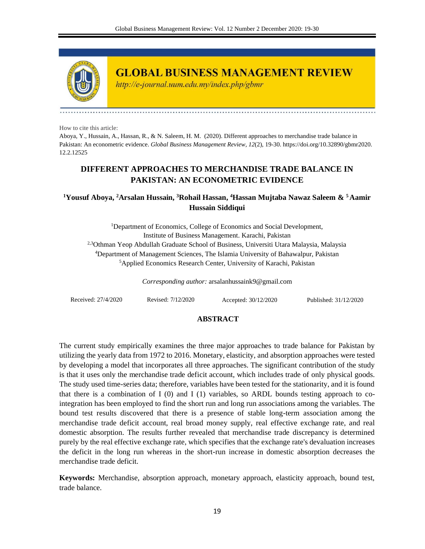

**GLOBAL BUSINESS MANAGEMENT REVIEW** 

http://e-journal.uum.edu.my/index.php/gbmr

How to cite this article:

Aboya, Y., Hussain, A., Hassan, R., & N. Saleem, H. M. (2020). Different approaches to merchandise trade balance in Pakistan: An econometric evidence. *Global Business Management Review, 12*(2), 19-30. https://doi.org/10.32890/gbmr2020. 12.2.12525

# **DIFFERENT APPROACHES TO MERCHANDISE TRADE BALANCE IN PAKISTAN: AN ECONOMETRIC EVIDENCE**

## **<sup>1</sup>Yousuf Aboya, <sup>2</sup>Arsalan Hussain, <sup>3</sup>Rohail Hassan, <sup>4</sup>Hassan Mujtaba Nawaz Saleem & <sup>5</sup>Aamir Hussain Siddiqui**

<sup>1</sup>Department of Economics, College of Economics and Social Development, Institute of Business Management. Karachi, Pakistan 2,3Othman Yeop Abdullah Graduate School of Business, Universiti Utara Malaysia, Malaysia <sup>4</sup>Department of Management Sciences, The Islamia University of Bahawalpur, Pakistan <sup>5</sup>Applied Economics Research Center, University of Karachi, Pakistan

*Corresponding author:* arsalanhussaink9@gmail.com

Received: 27/4/2020 Revised: 7/12/2020 Accepted: 30/12/2020 Published: 31/12/2020

#### **ABSTRACT**

The current study empirically examines the three major approaches to trade balance for Pakistan by utilizing the yearly data from 1972 to 2016. Monetary, elasticity, and absorption approaches were tested by developing a model that incorporates all three approaches. The significant contribution of the study is that it uses only the merchandise trade deficit account, which includes trade of only physical goods. The study used time-series data; therefore, variables have been tested for the stationarity, and it is found that there is a combination of  $I(0)$  and  $I(1)$  variables, so ARDL bounds testing approach to cointegration has been employed to find the short run and long run associations among the variables. The bound test results discovered that there is a presence of stable long-term association among the merchandise trade deficit account, real broad money supply, real effective exchange rate, and real domestic absorption. The results further revealed that merchandise trade discrepancy is determined purely by the real effective exchange rate, which specifies that the exchange rate's devaluation increases the deficit in the long run whereas in the short-run increase in domestic absorption decreases the merchandise trade deficit.

**Keywords:** Merchandise, absorption approach, monetary approach, elasticity approach, bound test, trade balance.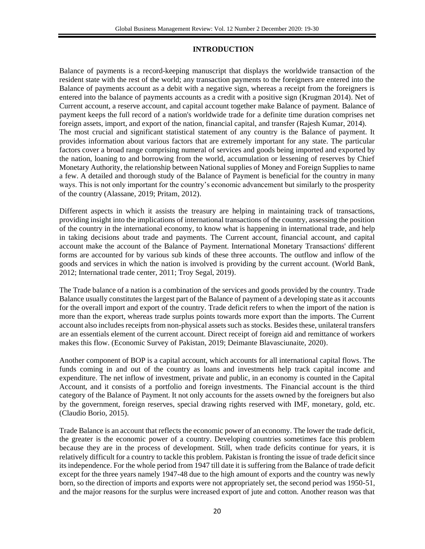## **INTRODUCTION**

Balance of payments is a record-keeping manuscript that displays the worldwide transaction of the resident state with the rest of the world; any transaction payments to the foreigners are entered into the Balance of payments account as a debit with a negative sign, whereas a receipt from the foreigners is entered into the balance of payments accounts as a credit with a positive sign (Krugman 2014). Net of Current account, a reserve account, and capital account together make Balance of payment. Balance of payment keeps the full record of a nation's worldwide trade for a definite time duration comprises net foreign assets, import, and export of the nation, financial capital, and transfer (Rajesh Kumar, 2014). The most crucial and significant statistical statement of any country is the Balance of payment. It provides information about various factors that are extremely important for any state. The particular factors cover a broad range comprising numeral of services and goods being imported and exported by the nation, loaning to and borrowing from the world, accumulation or lessening of reserves by Chief Monetary Authority, the relationship between National supplies of Money and Foreign Supplies to name a few. A detailed and thorough study of the Balance of Payment is beneficial for the country in many ways. This is not only important for the country's economic advancement but similarly to the prosperity of the country (Alassane, 2019; Pritam, 2012).

Different aspects in which it assists the treasury are helping in maintaining track of transactions, providing insight into the implications of international transactions of the country, assessing the position of the country in the international economy, to know what is happening in international trade, and help in taking decisions about trade and payments. The Current account, financial account, and capital account make the account of the Balance of Payment. International Monetary Transactions' different forms are accounted for by various sub kinds of these three accounts. The outflow and inflow of the goods and services in which the nation is involved is providing by the current account. (World Bank, 2012; International trade center, 2011; Troy Segal, 2019).

The Trade balance of a nation is a combination of the services and goods provided by the country. Trade Balance usually constitutes the largest part of the Balance of payment of a developing state as it accounts for the overall import and export of the country. Trade deficit refers to when the import of the nation is more than the export, whereas trade surplus points towards more export than the imports. The Current account also includes receipts from non-physical assets such as stocks. Besides these, unilateral transfers are an essentials element of the current account. Direct receipt of foreign aid and remittance of workers makes this flow. (Economic Survey of Pakistan, 2019; Deimante Blavasciunaite, 2020).

Another component of BOP is a capital account, which accounts for all international capital flows. The funds coming in and out of the country as loans and investments help track capital income and expenditure. The net inflow of investment, private and public, in an economy is counted in the Capital Account, and it consists of a portfolio and foreign investments. The Financial account is the third category of the Balance of Payment. It not only accounts for the assets owned by the foreigners but also by the government, foreign reserves, special drawing rights reserved with IMF, monetary, gold, etc. (Claudio Borio, 2015).

Trade Balance is an account that reflects the economic power of an economy. The lower the trade deficit, the greater is the economic power of a country. Developing countries sometimes face this problem because they are in the process of development. Still, when trade deficits continue for years, it is relatively difficult for a country to tackle this problem. Pakistan is fronting the issue of trade deficit since its independence. For the whole period from 1947 till date it is suffering from the Balance of trade deficit except for the three years namely 1947-48 due to the high amount of exports and the country was newly born, so the direction of imports and exports were not appropriately set, the second period was 1950-51, and the major reasons for the surplus were increased export of jute and cotton. Another reason was that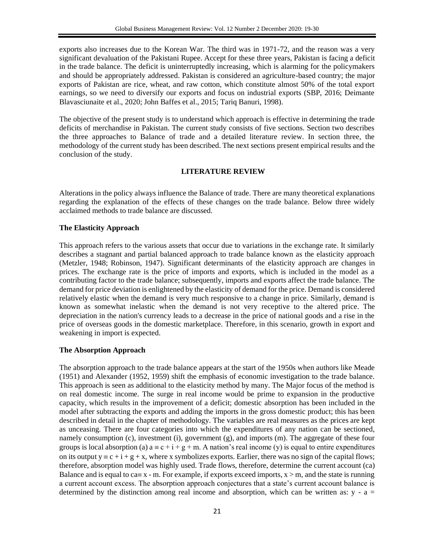exports also increases due to the Korean War. The third was in 1971-72, and the reason was a very significant devaluation of the Pakistani Rupee. Accept for these three years, Pakistan is facing a deficit in the trade balance. The deficit is uninterruptedly increasing, which is alarming for the policymakers and should be appropriately addressed. Pakistan is considered an agriculture-based country; the major exports of Pakistan are rice, wheat, and raw cotton, which constitute almost 50% of the total export earnings, so we need to diversify our exports and focus on industrial exports (SBP, 2016; Deimante Blavasciunaite et al., 2020; John Baffes et al., 2015; Tariq Banuri, 1998).

The objective of the present study is to understand which approach is effective in determining the trade deficits of merchandise in Pakistan. The current study consists of five sections. Section two describes the three approaches to Balance of trade and a detailed literature review. In section three, the methodology of the current study has been described. The next sections present empirical results and the conclusion of the study.

## **LITERATURE REVIEW**

Alterations in the policy always influence the Balance of trade. There are many theoretical explanations regarding the explanation of the effects of these changes on the trade balance. Below three widely acclaimed methods to trade balance are discussed.

## **The Elasticity Approach**

This approach refers to the various assets that occur due to variations in the exchange rate. It similarly describes a stagnant and partial balanced approach to trade balance known as the elasticity approach (Metzler, 1948; Robinson, 1947). Significant determinants of the elasticity approach are changes in prices. The exchange rate is the price of imports and exports, which is included in the model as a contributing factor to the trade balance; subsequently, imports and exports affect the trade balance. The demand for price deviation is enlightened by the elasticity of demand for the price. Demand is considered relatively elastic when the demand is very much responsive to a change in price. Similarly, demand is known as somewhat inelastic when the demand is not very receptive to the altered price. The depreciation in the nation's currency leads to a decrease in the price of national goods and a rise in the price of overseas goods in the domestic marketplace. Therefore, in this scenario, growth in export and weakening in import is expected.

## **The Absorption Approach**

The absorption approach to the trade balance appears at the start of the 1950s when authors like Meade (1951) and Alexander (1952, 1959) shift the emphasis of economic investigation to the trade balance. This approach is seen as additional to the elasticity method by many. The Major focus of the method is on real domestic income. The surge in real income would be prime to expansion in the productive capacity, which results in the improvement of a deficit; domestic absorption has been included in the model after subtracting the exports and adding the imports in the gross domestic product; this has been described in detail in the chapter of methodology. The variables are real measures as the prices are kept as unceasing. There are four categories into which the expenditures of any nation can be sectioned, namely consumption (c), investment (i), government (g), and imports (m). The aggregate of these four groups is local absorption (a)  $a = c + i + g + m$ . A nation's real income (y) is equal to entire expenditures on its output  $y = c + i + g + x$ , where x symbolizes exports. Earlier, there was no sign of the capital flows; therefore, absorption model was highly used. Trade flows, therefore, determine the current account (ca) Balance and is equal to ca=  $x$  - m. For example, if exports exceed imports,  $x > m$ , and the state is running a current account excess. The absorption approach conjectures that a state's current account balance is determined by the distinction among real income and absorption, which can be written as:  $y - a =$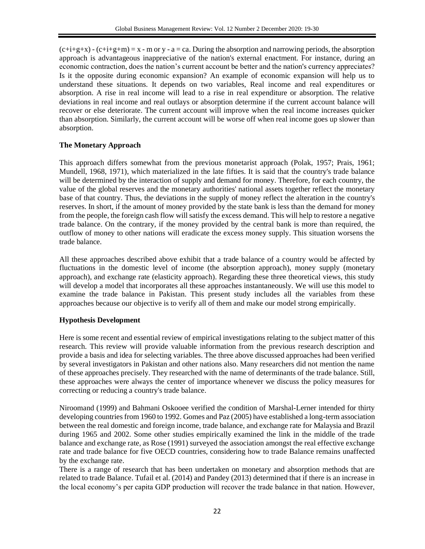$(c+i+g+x)$  -  $(c+i+g+m) = x - m$  or y - a = ca. During the absorption and narrowing periods, the absorption approach is advantageous inappreciative of the nation's external enactment. For instance, during an economic contraction, does the nation's current account be better and the nation's currency appreciates? Is it the opposite during economic expansion? An example of economic expansion will help us to understand these situations. It depends on two variables, Real income and real expenditures or absorption. A rise in real income will lead to a rise in real expenditure or absorption. The relative deviations in real income and real outlays or absorption determine if the current account balance will recover or else deteriorate. The current account will improve when the real income increases quicker than absorption. Similarly, the current account will be worse off when real income goes up slower than absorption.

## **The Monetary Approach**

This approach differs somewhat from the previous monetarist approach (Polak, 1957; Prais, 1961; Mundell, 1968, 1971), which materialized in the late fifties. It is said that the country's trade balance will be determined by the interaction of supply and demand for money. Therefore, for each country, the value of the global reserves and the monetary authorities' national assets together reflect the monetary base of that country. Thus, the deviations in the supply of money reflect the alteration in the country's reserves. In short, if the amount of money provided by the state bank is less than the demand for money from the people, the foreign cash flow will satisfy the excess demand. This will help to restore a negative trade balance. On the contrary, if the money provided by the central bank is more than required, the outflow of money to other nations will eradicate the excess money supply. This situation worsens the trade balance.

All these approaches described above exhibit that a trade balance of a country would be affected by fluctuations in the domestic level of income (the absorption approach), money supply (monetary approach), and exchange rate (elasticity approach). Regarding these three theoretical views, this study will develop a model that incorporates all these approaches instantaneously. We will use this model to examine the trade balance in Pakistan. This present study includes all the variables from these approaches because our objective is to verify all of them and make our model strong empirically.

## **Hypothesis Development**

Here is some recent and essential review of empirical investigations relating to the subject matter of this research. This review will provide valuable information from the previous research description and provide a basis and idea for selecting variables. The three above discussed approaches had been verified by several investigators in Pakistan and other nations also. Many researchers did not mention the name of these approaches precisely. They researched with the name of determinants of the trade balance. Still, these approaches were always the center of importance whenever we discuss the policy measures for correcting or reducing a country's trade balance.

Niroomand (1999) and Bahmani Oskooee verified the condition of Marshal-Lerner intended for thirty developing countries from 1960 to 1992. Gomes and Paz (2005) have established a long-term association between the real domestic and foreign income, trade balance, and exchange rate for Malaysia and Brazil during 1965 and 2002. Some other studies empirically examined the link in the middle of the trade balance and exchange rate, as Rose (1991) surveyed the association amongst the real effective exchange rate and trade balance for five OECD countries, considering how to trade Balance remains unaffected by the exchange rate.

There is a range of research that has been undertaken on monetary and absorption methods that are related to trade Balance. Tufail et al. (2014) and Pandey (2013) determined that if there is an increase in the local economy's per capita GDP production will recover the trade balance in that nation. However,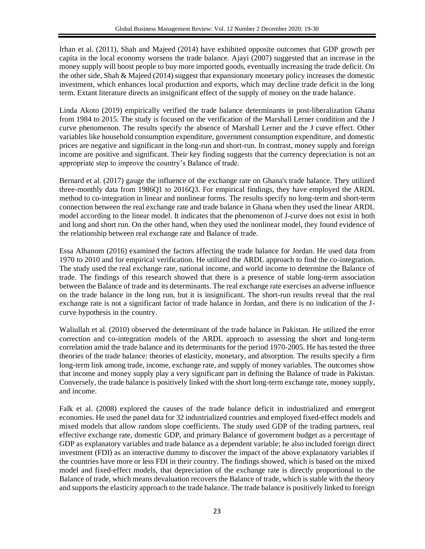Irhan et al. (2011), Shah and Majeed (2014) have exhibited opposite outcomes that GDP growth per capita in the local economy worsens the trade balance. Ajayi (2007) suggested that an increase in the money supply will boost people to buy more imported goods, eventually increasing the trade deficit. On the other side, Shah & Majeed (2014) suggest that expansionary monetary policy increases the domestic investment, which enhances local production and exports, which may decline trade deficit in the long term. Extant literature directs an insignificant effect of the supply of money on the trade balance.

Linda Akoto (2019) empirically verified the trade balance determinants in post-liberalization Ghana from 1984 to 2015. The study is focused on the verification of the Marshall Lerner condition and the J curve phenomenon. The results specify the absence of Marshall Lerner and the J curve effect. Other variables like household consumption expenditure, government consumption expenditure, and domestic prices are negative and significant in the long-run and short-run. In contrast, money supply and foreign income are positive and significant. Their key finding suggests that the currency depreciation is not an appropriate step to improve the country's Balance of trade.

Bernard et al. (2017) gauge the influence of the exchange rate on Ghana's trade balance. They utilized three-monthly data from 1986Q1 to 2016Q3. For empirical findings, they have employed the ARDL method to co-integration in linear and nonlinear forms. The results specify no long-term and short-term connection between the real exchange rate and trade balance in Ghana when they used the linear ARDL model according to the linear model. It indicates that the phenomenon of J-curve does not exist in both and long and short run. On the other hand, when they used the nonlinear model, they found evidence of the relationship between real exchange rate and Balance of trade.

Essa Alhanom (2016) examined the factors affecting the trade balance for Jordan. He used data from 1970 to 2010 and for empirical verification. He utilized the ARDL approach to find the co-integration. The study used the real exchange rate, national income, and world income to determine the Balance of trade. The findings of this research showed that there is a presence of stable long-term association between the Balance of trade and its determinants. The real exchange rate exercises an adverse influence on the trade balance in the long run, but it is insignificant. The short-run results reveal that the real exchange rate is not a significant factor of trade balance in Jordan, and there is no indication of the Jcurve hypothesis in the country.

Waliullah et al. (2010) observed the determinant of the trade balance in Pakistan. He utilized the error correction and co-integration models of the ARDL approach to assessing the short and long-term correlation amid the trade balance and its determinants for the period 1970-2005. He has tested the three theories of the trade balance: theories of elasticity, monetary, and absorption. The results specify a firm long-term link among trade, income, exchange rate, and supply of money variables. The outcomes show that income and money supply play a very significant part in defining the Balance of trade in Pakistan. Conversely, the trade balance is positively linked with the short long-term exchange rate, money supply, and income.

Falk et al. (2008) explored the causes of the trade balance deficit in industrialized and emergent economies. He used the panel data for 32 industrialized countries and employed fixed-effect models and mixed models that allow random slope coefficients. The study used GDP of the trading partners, real effective exchange rate, domestic GDP, and primary Balance of government budget as a percentage of GDP as explanatory variables and trade balance as a dependent variable; he also included foreign direct investment (FDI) as an interactive dummy to discover the impact of the above explanatory variables if the countries have more or less FDI in their country. The findings showed, which is based on the mixed model and fixed-effect models, that depreciation of the exchange rate is directly proportional to the Balance of trade, which means devaluation recovers the Balance of trade, which is stable with the theory and supports the elasticity approach to the trade balance. The trade balance is positively linked to foreign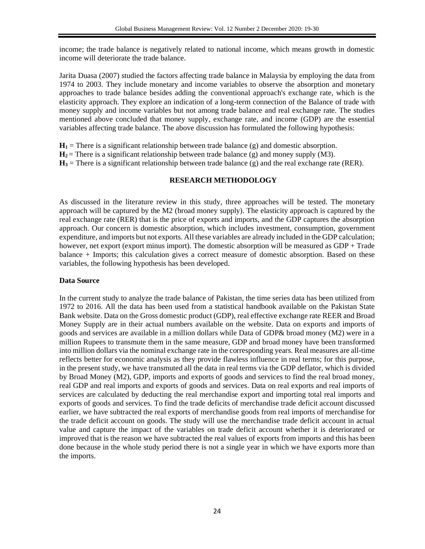income; the trade balance is negatively related to national income, which means growth in domestic income will deteriorate the trade balance.

Jarita Duasa (2007) studied the factors affecting trade balance in Malaysia by employing the data from 1974 to 2003. They include monetary and income variables to observe the absorption and monetary approaches to trade balance besides adding the conventional approach's exchange rate, which is the elasticity approach. They explore an indication of a long-term connection of the Balance of trade with money supply and income variables but not among trade balance and real exchange rate. The studies mentioned above concluded that money supply, exchange rate, and income (GDP) are the essential variables affecting trade balance. The above discussion has formulated the following hypothesis:

 $H_1$  = There is a significant relationship between trade balance (g) and domestic absorption.

 $H_2$  = There is a significant relationship between trade balance (g) and money supply (M3).

 $H_3$  = There is a significant relationship between trade balance (g) and the real exchange rate (RER).

## **RESEARCH METHODOLOGY**

As discussed in the literature review in this study, three approaches will be tested. The monetary approach will be captured by the M2 (broad money supply). The elasticity approach is captured by the real exchange rate (RER) that is the price of exports and imports, and the GDP captures the absorption approach. Our concern is domestic absorption, which includes investment, consumption, government expenditure, and imports but not exports. All these variables are already included in the GDP calculation; however, net export (export minus import). The domestic absorption will be measured as GDP + Trade balance + Imports; this calculation gives a correct measure of domestic absorption. Based on these variables, the following hypothesis has been developed.

## **Data Source**

In the current study to analyze the trade balance of Pakistan, the time series data has been utilized from 1972 to 2016. All the data has been used from a statistical handbook available on the Pakistan State Bank website. Data on the Gross domestic product (GDP), real effective exchange rate REER and Broad Money Supply are in their actual numbers available on the website. Data on exports and imports of goods and services are available in a million dollars while Data of GDP& broad money (M2) were in a million Rupees to transmute them in the same measure, GDP and broad money have been transformed into million dollars via the nominal exchange rate in the corresponding years. Real measures are all-time reflects better for economic analysis as they provide flawless influence in real terms; for this purpose, in the present study, we have transmuted all the data in real terms via the GDP deflator, which is divided by Broad Money (M2), GDP, imports and exports of goods and services to find the real broad money, real GDP and real imports and exports of goods and services. Data on real exports and real imports of services are calculated by deducting the real merchandise export and importing total real imports and exports of goods and services. To find the trade deficits of merchandise trade deficit account discussed earlier, we have subtracted the real exports of merchandise goods from real imports of merchandise for the trade deficit account on goods. The study will use the merchandise trade deficit account in actual value and capture the impact of the variables on trade deficit account whether it is deteriorated or improved that is the reason we have subtracted the real values of exports from imports and this has been done because in the whole study period there is not a single year in which we have exports more than the imports.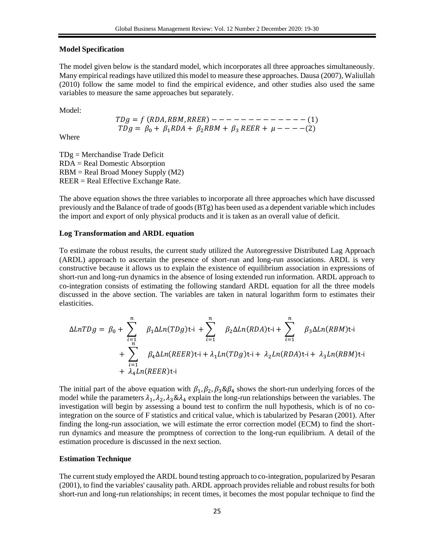#### **Model Specification**

The model given below is the standard model, which incorporates all three approaches simultaneously. Many empirical readings have utilized this model to measure these approaches. Dausa (2007), Waliullah (2010) follow the same model to find the empirical evidence, and other studies also used the same variables to measure the same approaches but separately.

Model:

 $TDg = f (RDA, RBM, RREF)$  - - - - - - - - - - - - (1)  $TDg = \beta_0 + \beta_1 RDA + \beta_2 RBM + \beta_3 REER + \mu --- (2)$ 

Where

TDg = Merchandise Trade Deficit RDA = Real Domestic Absorption RBM = Real Broad Money Supply (M2) REER = Real Effective Exchange Rate.

The above equation shows the three variables to incorporate all three approaches which have discussed previously and the Balance of trade of goods (BTg) has been used as a dependent variable which includes the import and export of only physical products and it is taken as an overall value of deficit.

#### **Log Transformation and ARDL equation**

To estimate the robust results, the current study utilized the Autoregressive Distributed Lag Approach (ARDL) approach to ascertain the presence of short-run and long-run associations. ARDL is very constructive because it allows us to explain the existence of equilibrium association in expressions of short-run and long-run dynamics in the absence of losing extended run information. ARDL approach to co-integration consists of estimating the following standard ARDL equation for all the three models discussed in the above section. The variables are taken in natural logarithm form to estimates their elasticities.

$$
\Delta LnTDg = \beta_0 + \sum_{\substack{i=1 \ i \neq j}}^n \beta_1 \Delta Ln(TDg) t - i + \sum_{i=1}^n \beta_2 \Delta Ln(RDA) t - i + \sum_{i=1}^n \beta_3 \Delta Ln(RBM) t - i
$$
  
+ 
$$
\sum_{i=1}^n \beta_4 \Delta Ln(REER) t - i + \lambda_1 Ln(TDg) t - i + \lambda_2 Ln(RDA) t - i + \lambda_3 Ln(RBM) t - i
$$

The initial part of the above equation with  $\beta_1, \beta_2, \beta_3 \& \beta_4$  shows the short-run underlying forces of the model while the parameters  $\lambda_1$ ,  $\lambda_2$ ,  $\lambda_3 \& \lambda_4$  explain the long-run relationships between the variables. The investigation will begin by assessing a bound test to confirm the null hypothesis, which is of no cointegration on the source of F statistics and critical value, which is tabularized by Pesaran (2001). After finding the long-run association, we will estimate the error correction model (ECM) to find the shortrun dynamics and measure the promptness of correction to the long-run equilibrium. A detail of the estimation procedure is discussed in the next section.

#### **Estimation Technique**

The current study employed the ARDL bound testing approach to co-integration, popularized by Pesaran (2001), to find the variables' causality path. ARDL approach provides reliable and robust results for both short-run and long-run relationships; in recent times, it becomes the most popular technique to find the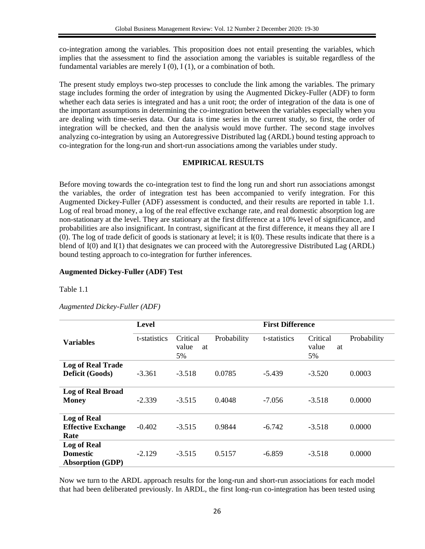co-integration among the variables. This proposition does not entail presenting the variables, which implies that the assessment to find the association among the variables is suitable regardless of the fundamental variables are merely  $I(0)$ ,  $I(1)$ , or a combination of both.

The present study employs two-step processes to conclude the link among the variables. The primary stage includes forming the order of integration by using the Augmented Dickey-Fuller (ADF) to form whether each data series is integrated and has a unit root; the order of integration of the data is one of the important assumptions in determining the co-integration between the variables especially when you are dealing with time-series data. Our data is time series in the current study, so first, the order of integration will be checked, and then the analysis would move further. The second stage involves analyzing co-integration by using an Autoregressive Distributed lag (ARDL) bound testing approach to co-integration for the long-run and short-run associations among the variables under study.

#### **EMPIRICAL RESULTS**

Before moving towards the co-integration test to find the long run and short run associations amongst the variables, the order of integration test has been accompanied to verify integration. For this Augmented Dickey-Fuller (ADF) assessment is conducted, and their results are reported in table 1.1. Log of real broad money, a log of the real effective exchange rate, and real domestic absorption log are non-stationary at the level. They are stationary at the first difference at a 10% level of significance, and probabilities are also insignificant. In contrast, significant at the first difference, it means they all are I (0). The log of trade deficit of goods is stationary at level; it is I(0). These results indicate that there is a blend of I(0) and I(1) that designates we can proceed with the Autoregressive Distributed Lag (ARDL) bound testing approach to co-integration for further inferences.

## **Augmented Dickey-Fuller (ADF) Test**

Table 1.1

|                           | Level        |                               |             | <b>First Difference</b> |                               |             |
|---------------------------|--------------|-------------------------------|-------------|-------------------------|-------------------------------|-------------|
| <b>Variables</b>          | t-statistics | Critical<br>value<br>at<br>5% | Probability | t-statistics            | Critical<br>value<br>at<br>5% | Probability |
| <b>Log of Real Trade</b>  |              |                               |             |                         |                               |             |
| Deficit (Goods)           | $-3.361$     | $-3.518$                      | 0.0785      | $-5.439$                | $-3.520$                      | 0.0003      |
| <b>Log of Real Broad</b>  |              |                               |             |                         |                               |             |
| <b>Money</b>              | $-2.339$     | $-3.515$                      | 0.4048      | $-7.056$                | $-3.518$                      | 0.0000      |
| <b>Log of Real</b>        |              |                               |             |                         |                               |             |
| <b>Effective Exchange</b> | $-0.402$     | $-3.515$                      | 0.9844      | $-6.742$                | $-3.518$                      | 0.0000      |
| Rate                      |              |                               |             |                         |                               |             |
| <b>Log of Real</b>        |              |                               |             |                         |                               |             |
| <b>Domestic</b>           | $-2.129$     | $-3.515$                      | 0.5157      | $-6.859$                | $-3.518$                      | 0.0000      |
| <b>Absorption (GDP)</b>   |              |                               |             |                         |                               |             |

*Augmented Dickey-Fuller (ADF)*

Now we turn to the ARDL approach results for the long-run and short-run associations for each model that had been deliberated previously. In ARDL, the first long-run co-integration has been tested using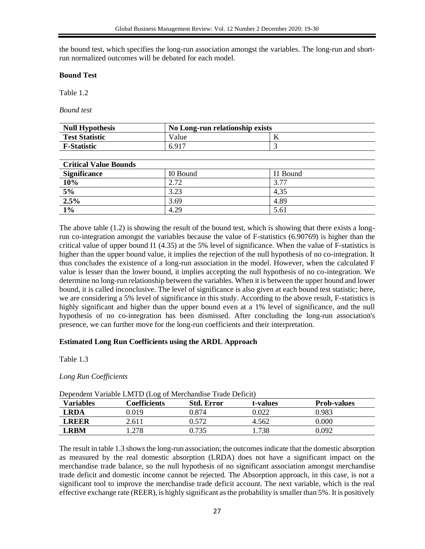the bound test, which specifies the long-run association amongst the variables. The long-run and shortrun normalized outcomes will be debated for each model.

#### **Bound Test**

Table 1.2

*Bound test* 

| <b>Null Hypothesis</b> | 'No Long-run relationship exists |  |  |  |
|------------------------|----------------------------------|--|--|--|
| <b>Test Statistic</b>  | Value                            |  |  |  |
| <b>F-Statistic</b>     | 6.917                            |  |  |  |

#### **Critical Value Bounds**

| <b>Significance</b> | I0 Bound | I1 Bound |  |  |
|---------------------|----------|----------|--|--|
| 10%                 | 2.72     | 3.77     |  |  |
| 5%                  | 3.23     | 4,35     |  |  |
| 2.5%                | 3.69     | 4.89     |  |  |
| $1\%$               | 4.29     | 5.61     |  |  |

The above table (1.2) is showing the result of the bound test, which is showing that there exists a longrun co-integration amongst the variables because the value of F-statistics (6.90769) is higher than the critical value of upper bound I1 (4.35) at the 5% level of significance. When the value of F-statistics is higher than the upper bound value, it implies the rejection of the null hypothesis of no co-integration. It thus concludes the existence of a long-run association in the model. However, when the calculated F value is lesser than the lower bound, it implies accepting the null hypothesis of no co-integration. We determine no long-run relationship between the variables. When it is between the upper bound and lower bound, it is called inconclusive. The level of significance is also given at each bound test statistic; here, we are considering a 5% level of significance in this study. According to the above result, F-statistics is highly significant and higher than the upper bound even at a 1% level of significance, and the null hypothesis of no co-integration has been dismissed. After concluding the long-run association's presence, we can further move for the long-run coefficients and their interpretation.

#### **Estimated Long Run Coefficients using the ARDL Approach**

Table 1.3

#### *Long Run Coefficients*

| <b>Variables</b> | Coefficients | <b>Std. Error</b> | t-values | <b>Prob-values</b> |
|------------------|--------------|-------------------|----------|--------------------|
| LRDA             | 0.019        | 0.874             | 0.022    | 0.983              |
| LREER            | 2.611        | 0.572             | 4.562    | 0.000              |
| LRBM             | .278         | 0.735             | .738     | 0.092              |

Dependent Variable LMTD (Log of Merchandise Trade Deficit)

The result in table 1.3 shows the long-run association; the outcomes indicate that the domestic absorption as measured by the real domestic absorption (LRDA) does not have a significant impact on the merchandise trade balance, so the null hypothesis of no significant association amongst merchandise trade deficit and domestic income cannot be rejected. The Absorption approach, in this case, is not a significant tool to improve the merchandise trade deficit account. The next variable, which is the real effective exchange rate (REER), is highly significant as the probability is smaller than 5%. It is positively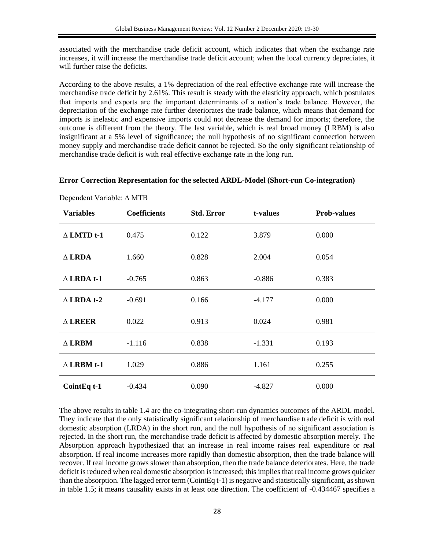associated with the merchandise trade deficit account, which indicates that when the exchange rate increases, it will increase the merchandise trade deficit account; when the local currency depreciates, it will further raise the deficits.

According to the above results, a 1% depreciation of the real effective exchange rate will increase the merchandise trade deficit by 2.61%. This result is steady with the elasticity approach, which postulates that imports and exports are the important determinants of a nation's trade balance. However, the depreciation of the exchange rate further deteriorates the trade balance, which means that demand for imports is inelastic and expensive imports could not decrease the demand for imports; therefore, the outcome is different from the theory. The last variable, which is real broad money (LRBM) is also insignificant at a 5% level of significance; the null hypothesis of no significant connection between money supply and merchandise trade deficit cannot be rejected. So the only significant relationship of merchandise trade deficit is with real effective exchange rate in the long run.

### **Error Correction Representation for the selected ARDL-Model (Short-run Co-integration)**

| <b>Variables</b>     | <b>Coefficients</b> | <b>Std. Error</b> | t-values | <b>Prob-values</b> |
|----------------------|---------------------|-------------------|----------|--------------------|
| $\triangle$ LMTD t-1 | 0.475               | 0.122             | 3.879    | 0.000              |
| $\triangle$ LRDA     | 1.660               | 0.828             | 2.004    | 0.054              |
| $\triangle$ LRDA t-1 | $-0.765$            | 0.863             | $-0.886$ | 0.383              |
| $\triangle$ LRDA t-2 | $-0.691$            | 0.166             | $-4.177$ | 0.000              |
| $\triangle$ LREER    | 0.022               | 0.913             | 0.024    | 0.981              |
| $\triangle$ LRBM     | $-1.116$            | 0.838             | $-1.331$ | 0.193              |
| $\triangle$ LRBM t-1 | 1.029               | 0.886             | 1.161    | 0.255              |
| CointEq t-1          | $-0.434$            | 0.090             | $-4.827$ | 0.000              |

Dependent Variable: ∆ MTB

The above results in table 1.4 are the co-integrating short-run dynamics outcomes of the ARDL model. They indicate that the only statistically significant relationship of merchandise trade deficit is with real domestic absorption (LRDA) in the short run, and the null hypothesis of no significant association is rejected. In the short run, the merchandise trade deficit is affected by domestic absorption merely. The Absorption approach hypothesized that an increase in real income raises real expenditure or real absorption. If real income increases more rapidly than domestic absorption, then the trade balance will recover. If real income grows slower than absorption, then the trade balance deteriorates. Here, the trade deficit is reduced when real domestic absorption is increased; this implies that real income grows quicker than the absorption. The lagged error term (CointEq t-1) is negative and statistically significant, as shown in table 1.5; it means causality exists in at least one direction. The coefficient of -0.434467 specifies a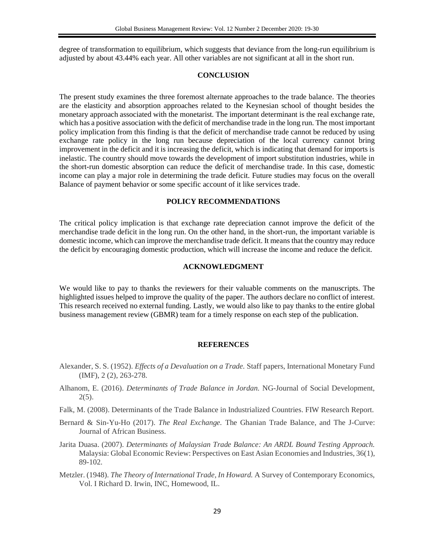degree of transformation to equilibrium, which suggests that deviance from the long-run equilibrium is adjusted by about 43.44% each year. All other variables are not significant at all in the short run.

#### **CONCLUSION**

The present study examines the three foremost alternate approaches to the trade balance. The theories are the elasticity and absorption approaches related to the Keynesian school of thought besides the monetary approach associated with the monetarist. The important determinant is the real exchange rate, which has a positive association with the deficit of merchandise trade in the long run. The most important policy implication from this finding is that the deficit of merchandise trade cannot be reduced by using exchange rate policy in the long run because depreciation of the local currency cannot bring improvement in the deficit and it is increasing the deficit, which is indicating that demand for imports is inelastic. The country should move towards the development of import substitution industries, while in the short-run domestic absorption can reduce the deficit of merchandise trade. In this case, domestic income can play a major role in determining the trade deficit. Future studies may focus on the overall Balance of payment behavior or some specific account of it like services trade.

#### **POLICY RECOMMENDATIONS**

The critical policy implication is that exchange rate depreciation cannot improve the deficit of the merchandise trade deficit in the long run. On the other hand, in the short-run, the important variable is domestic income, which can improve the merchandise trade deficit. It means that the country may reduce the deficit by encouraging domestic production, which will increase the income and reduce the deficit.

#### **ACKNOWLEDGMENT**

We would like to pay to thanks the reviewers for their valuable comments on the manuscripts. The highlighted issues helped to improve the quality of the paper. The authors declare no conflict of interest. This research received no external funding. Lastly, we would also like to pay thanks to the entire global business management review (GBMR) team for a timely response on each step of the publication.

#### **REFERENCES**

- Alexander, S. S. (1952). *Effects of a Devaluation on a Trade.* Staff papers, International Monetary Fund (IMF), 2 (2), 263-278.
- Alhanom, E. (2016). *Determinants of Trade Balance in Jordan.* NG-Journal of Social Development,  $2(5)$ .
- Falk, M. (2008). Determinants of the Trade Balance in Industrialized Countries. FIW Research Report.
- Bernard & Sin-Yu-Ho (2017). *The Real Exchange.* The Ghanian Trade Balance, and The J-Curve: Journal of African Business.
- Jarita Duasa. (2007). *Determinants of Malaysian Trade Balance: An ARDL Bound Testing Approach.* Malaysia: Global Economic Review: Perspectives on East Asian Economies and Industries, 36(1), 89-102.
- Metzler. (1948). *The Theory of International Trade, In Howard.* A Survey of Contemporary Economics, Vol. I Richard D. Irwin, INC, Homewood, IL.